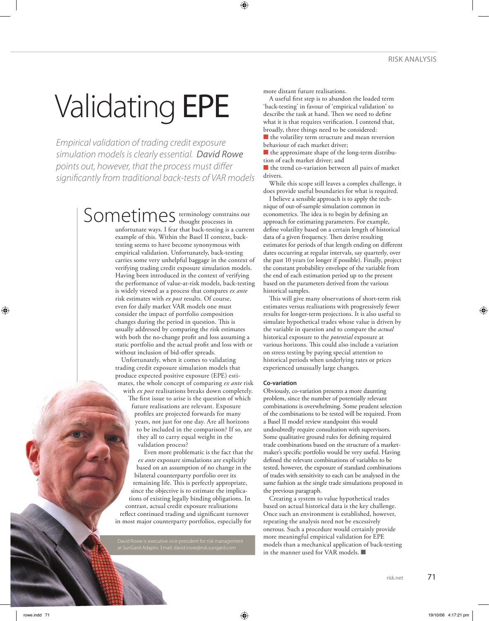## Validating EPE

Empirical validation of trading credit exposure simulation models is clearly essential. David Rowe points out, however, that the process must differ significantly from traditional back-tests of VAR models

> terminology constrains our Sometimes terminology constrai unfortunate ways. I fear that back-testing is a current example of this. Within the Basel II context, backtesting seems to have become synonymous with empirical validation. Unfortunately, back-testing carries some very unhelpful baggage in the context of verifying trading credit exposure simulation models. Having been introduced in the context of verifying the performance of value-at-risk models, back-testing is widely viewed as a process that compares *ex ante* risk estimates with *ex post* results. Of course, even for daily market VAR models one must consider the impact of portfolio composition changes during the period in question. This is usually addressed by comparing the risk estimates with both the no-change profit and loss assuming a static portfolio and the actual profit and loss with or without inclusion of bid-offer spreads.

Unfortunately, when it comes to validating trading credit exposure simulation models that produce expected positive exposure (EPE) estimates, the whole concept of comparing *ex ante* risk

with *ex post* realisations breaks down completely. The first issue to arise is the question of which future realisations are relevant. Exposure profiles are projected forwards for many years, not just for one day. Are all horizons to be included in the comparison? If so, are they all to carry equal weight in the validation process?

Even more problematic is the fact that the *ex ante* exposure simulations are explicitly based on an assumption of no change in the bilateral counterparty portfolio over its remaining life. This is perfectly appropriate, since the objective is to estimate the implications of existing legally binding obligations. In contrast, actual credit exposure realisations reflect continued trading and significant turnover in most major counterparty portfolios, especially for

David Rowe is executive vice-president for risk management

more distant future realisations.

⊕

A useful first step is to abandon the loaded term 'back-testing' in favour of 'empirical validation' to describe the task at hand. Then we need to define what it is that requires verification. I contend that, broadly, three things need to be considered:

■ the volatility term structure and mean reversion behaviour of each market driver;

■ the approximate shape of the long-term distribution of each market driver; and

■ the trend co-variation between all pairs of market drivers.

While this scope still leaves a complex challenge, it does provide useful boundaries for what is required.

I believe a sensible approach is to apply the technique of out-of-sample simulation common in econometrics. The idea is to begin by defining an approach for estimating parameters. For example, define volatility based on a certain length of historical data of a given frequency. Then derive resulting estimates for periods of that length ending on different dates occurring at regular intervals, say quarterly, over the past 10 years (or longer if possible). Finally, project the constant probability envelope of the variable from the end of each estimation period up to the present based on the parameters derived from the various historical samples.

This will give many observations of short-term risk estimates versus realisations with progressively fewer results for longer-term projections. It is also useful to simulate hypothetical trades whose value is driven by the variable in question and to compare the *actual* historical exposure to the *potential* exposure at various horizons. This could also include a variation on stress testing by paying special attention to historical periods when underlying rates or prices experienced unusually large changes.

## **Co-variation**

Obviously, co-variation presents a more daunting problem, since the number of potentially relevant combinations is overwhelming. Some prudent selection of the combinations to be tested will be required. From a Basel II model review standpoint this would undoubtedly require consultation with supervisors. Some qualitative ground rules for defining required trade combinations based on the structure of a marketmaker's specific portfolio would be very useful. Having defined the relevant combinations of variables to be tested, however, the exposure of standard combinations of trades with sensitivity to each can be analysed in the same fashion as the single trade simulations proposed in the previous paragraph.

Creating a system to value hypothetical trades based on actual historical data is the key challenge. Once such an environment is established, however, repeating the analysis need not be excessively onerous. Such a procedure would certainly provide more meaningful empirical validation for EPE models than a mechanical application of back-testing in the manner used for VAR models. ■

⊕

◈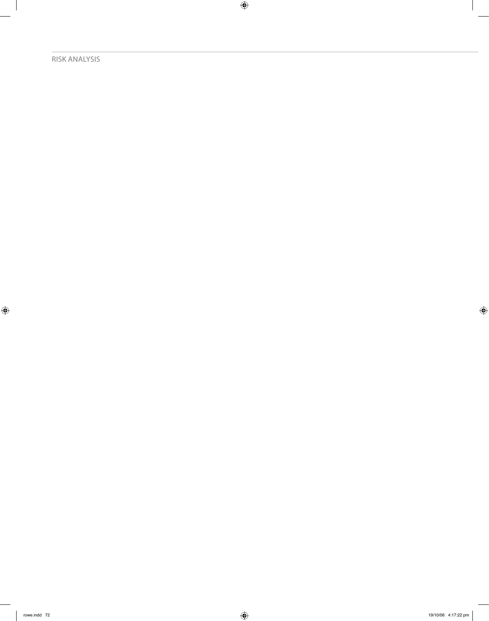RISK ANALYSIS

 $\bigoplus$ 

 $\bigoplus$ 

 $\bigoplus$